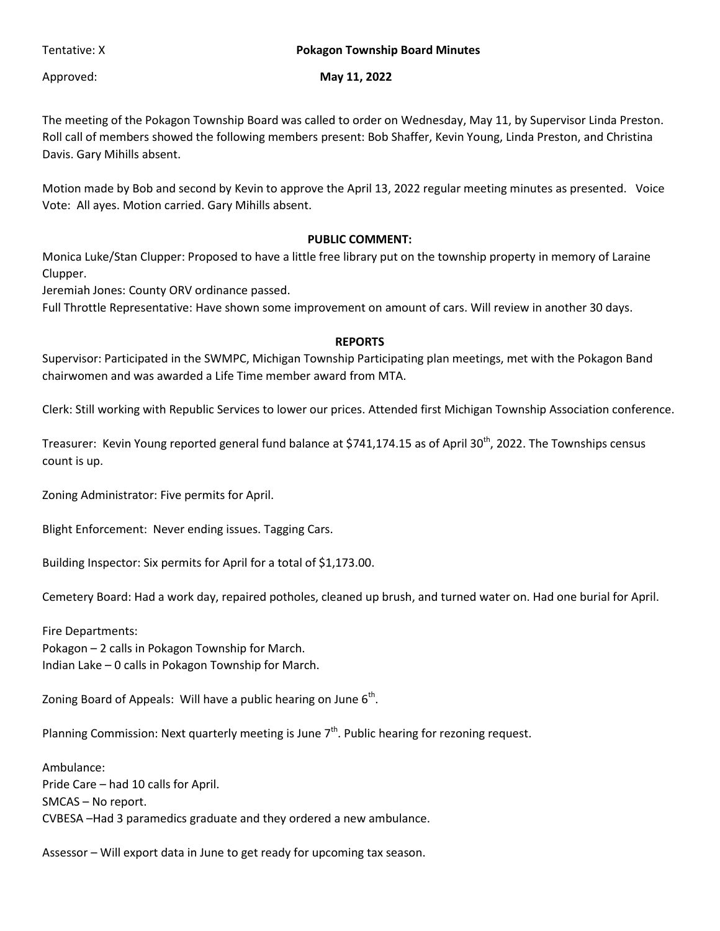## Tentative: X **Pokagon Township Board Minutes**

## Approved: **May 11, 2022**

The meeting of the Pokagon Township Board was called to order on Wednesday, May 11, by Supervisor Linda Preston. Roll call of members showed the following members present: Bob Shaffer, Kevin Young, Linda Preston, and Christina Davis. Gary Mihills absent.

Motion made by Bob and second by Kevin to approve the April 13, 2022 regular meeting minutes as presented. Voice Vote: All ayes. Motion carried. Gary Mihills absent.

## **PUBLIC COMMENT:**

Monica Luke/Stan Clupper: Proposed to have a little free library put on the township property in memory of Laraine Clupper.

Jeremiah Jones: County ORV ordinance passed.

Full Throttle Representative: Have shown some improvement on amount of cars. Will review in another 30 days.

## **REPORTS**

Supervisor: Participated in the SWMPC, Michigan Township Participating plan meetings, met with the Pokagon Band chairwomen and was awarded a Life Time member award from MTA.

Clerk: Still working with Republic Services to lower our prices. Attended first Michigan Township Association conference.

Treasurer: Kevin Young reported general fund balance at \$741,174.15 as of April 30<sup>th</sup>, 2022. The Townships census count is up.

Zoning Administrator: Five permits for April.

Blight Enforcement: Never ending issues. Tagging Cars.

Building Inspector: Six permits for April for a total of \$1,173.00.

Cemetery Board: Had a work day, repaired potholes, cleaned up brush, and turned water on. Had one burial for April.

Fire Departments:

Pokagon – 2 calls in Pokagon Township for March.

Indian Lake – 0 calls in Pokagon Township for March.

Zoning Board of Appeals: Will have a public hearing on June  $6<sup>th</sup>$ .

Planning Commission: Next quarterly meeting is June  $7<sup>th</sup>$ . Public hearing for rezoning request.

Ambulance: Pride Care – had 10 calls for April. SMCAS – No report. CVBESA –Had 3 paramedics graduate and they ordered a new ambulance.

Assessor – Will export data in June to get ready for upcoming tax season.